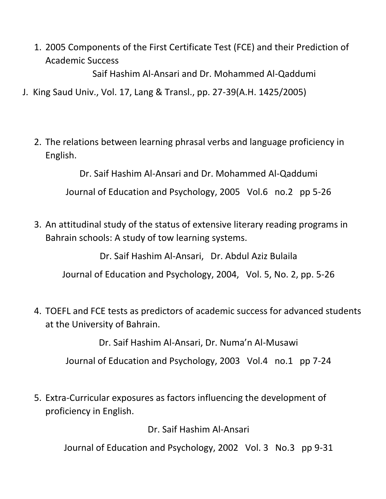1. 2005 Components of the First Certificate Test (FCE) and their Prediction of Academic Success

Saif Hashim Al-Ansari and Dr. Mohammed Al-Qaddumi

- J. King Saud Univ., Vol. 17, Lang & Transl., pp. 27-39(A.H. 1425/2005)
	- 2. The relations between learning phrasal verbs and language proficiency in English.

Dr. Saif Hashim Al-Ansari and Dr. Mohammed Al-Qaddumi

Journal of Education and Psychology, 2005 Vol.6 no.2 pp 5-26

3. An attitudinal study of the status of extensive literary reading programs in Bahrain schools: A study of tow learning systems.

Dr. Saif Hashim Al-Ansari, Dr. Abdul Aziz Bulaila

Journal of Education and Psychology, 2004, Vol. 5, No. 2, pp. 5-26

4. TOEFL and FCE tests as predictors of academic success for advanced students at the University of Bahrain.

Dr. Saif Hashim Al-Ansari, Dr. Numa'n Al-Musawi

Journal of Education and Psychology, 2003 Vol.4 no.1 pp 7-24

5. Extra-Curricular exposures as factors influencing the development of proficiency in English.

Dr. Saif Hashim Al-Ansari

Journal of Education and Psychology, 2002 Vol. 3 No.3 pp 9-31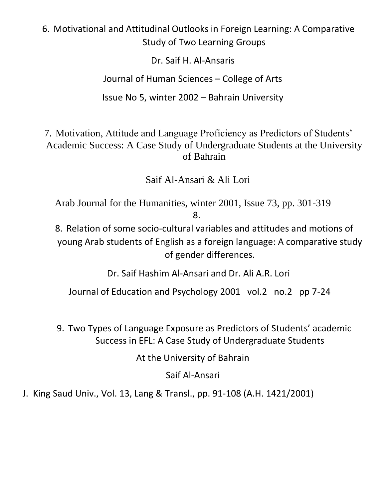## 6. Motivational and Attitudinal Outlooks in Foreign Learning: A Comparative Study of Two Learning Groups

Dr. Saif H. Al-Ansaris

Journal of Human Sciences – College of Arts

Issue No 5, winter 2002 – Bahrain University

7. Motivation, Attitude and Language Proficiency as Predictors of Students' Academic Success: A Case Study of Undergraduate Students at the University of Bahrain

Saif Al-Ansari & Ali Lori

Arab Journal for the Humanities, winter 2001, Issue 73, pp. 301-319 8.

8. Relation of some socio-cultural variables and attitudes and motions of young Arab students of English as a foreign language: A comparative study of gender differences.

Dr. Saif Hashim Al-Ansari and Dr. Ali A.R. Lori

Journal of Education and Psychology 2001 vol.2 no.2 pp 7-24

9. Two Types of Language Exposure as Predictors of Students' academic Success in EFL: A Case Study of Undergraduate Students

At the University of Bahrain

Saif Al-Ansari

J. King Saud Univ., Vol. 13, Lang & Transl., pp. 91-108 (A.H. 1421/2001)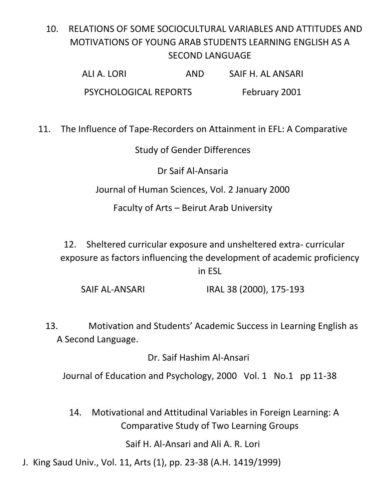## 10. RELATIONS OF SOME SOCIOCULTURAL VARIABLES AND ATTITUDES AND MOTIVATIONS OF YOUNG ARAB STUDENTS LEARNING ENGLISH AS A SECOND LANGUAGE

| ALI A. LORI                  | AND | SAIF H. AL ANSARI |
|------------------------------|-----|-------------------|
| <b>PSYCHOLOGICAL REPORTS</b> |     | February 2001     |

11. The Influence of Tape-Recorders on Attainment in EFL: A Comparative

Study of Gender Differences

Dr Saif Al-Ansaria

Journal of Human Sciences, Vol. 2 January 2000

Faculty of Arts – Beirut Arab University

12. Sheltered curricular exposure and unsheltered extra- curricular exposure as factors influencing the development of academic proficiency in ESL

SAIF AL-ANSARI IRAL 38 (2000), 175-193

13. Motivation and Students' Academic Success in Learning English as A Second Language.

Dr. Saif Hashim Al-Ansari

Journal of Education and Psychology, 2000 Vol. 1 No.1 pp 11-38

14. Motivational and Attitudinal Variables in Foreign Learning: A Comparative Study of Two Learning Groups

Saif H. Al-Ansari and Ali A. R. Lori

J. King Saud Univ., Vol. 11, Arts (1), pp. 23-38 (A.H. 1419/1999)